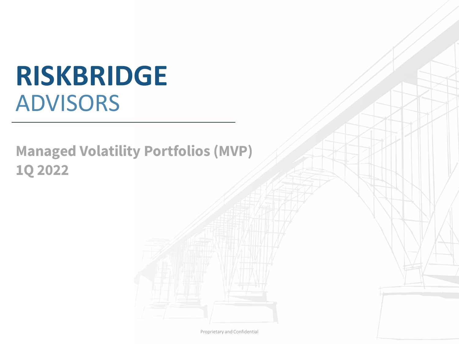# **RISKBRIDGE** ADVISORS

# **Managed Volatility Portfolios (MVP) 1Q 2022**

Proprietary and Confidential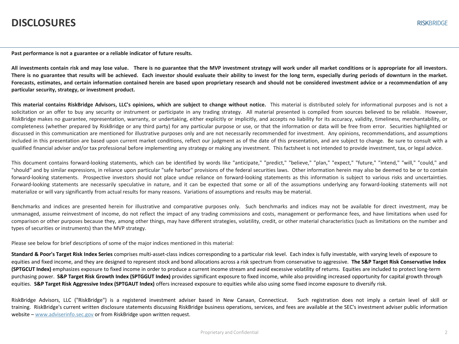#### **DISCLOSURES**

**Past performance is not a guarantee or a reliable indicator of future results.**

All investments contain risk and may lose value. There is no guarantee that the MVP investment strategy will work under all market conditions or is appropriate for all investors. There is no guarantee that results will be achieved. Each investor should evaluate their ability to invest for the long term, especially during periods of downturn in the market. Forecasts, estimates, and certain information contained herein are based upon proprietary research and should not be considered investment advice or a recommendation of any **particular security, strategy, or investment product.**

This material contains RiskBridge Advisors, LLC's opinions, which are subject to change without notice. This material is distributed solely for informational purposes and is not a solicitation or an offer to buy any security or instrument or participate in any trading strategy. All material presented is compiled from sources believed to be reliable. However, RiskBridge makes no guarantee, representation, warranty, or undertaking, either explicitly or implicitly, and accepts no liability for its accuracy, validity, timeliness, merchantability, or completeness (whether prepared by RiskBridge or any third party) for any particular purpose or use, or that the information or data will be free from error. Securities highlighted or discussed in this communication are mentioned for illustrative purposes only and are not necessarily recommended for investment. Any opinions, recommendations, and assumptions included in this presentation are based upon current market conditions, reflect our judgment as of the date of this presentation, and are subject to change. Be sure to consult with a qualified financial adviser and/or tax professional before implementing any strategy or making any investment. This factsheet is not intended to provide investment, tax, or legal advice.

This document contains forward-looking statements, which can be identified by words like "anticipate," "predict," "believe," "plan," "expect," "future," "intend," "will," "could," and "should" and by similar expressions, in reliance upon particular "safe harbor" provisions of the federal securities laws. Other information herein may also be deemed to be or to contain forward-looking statements. Prospective investors should not place undue reliance on forward-looking statements as this information is subject to various risks and uncertainties. Forward-looking statements are necessarily speculative in nature, and it can be expected that some or all of the assumptions underlying any forward-looking statements will not materialize or will vary significantly from actual results for many reasons. Variations of assumptions and results may be material.

Benchmarks and indices are presented herein for illustrative and comparative purposes only. Such benchmarks and indices may not be available for direct investment, may be unmanaged, assume reinvestment of income, do not reflect the impact of any trading commissions and costs, management or performance fees, and have limitations when used for comparison or other purposes because they, among other things, may have different strategies, volatility, credit, or other material characteristics (such as limitations on the number and types of securities or instruments) than the MVP strategy.

Please see below for brief descriptions of some of the major indices mentioned in this material:

**Standard & Poor's Target Risk Index Series** comprises multi-asset-class indices corresponding to a particular risk level. Each index is fully investable, with varying levels of exposure to equities and fixed income, and they are designed to represent stock and bond allocations across a risk spectrum from conservative to aggressive. **The S&P Target Risk Conservative Index (SPTGCUT Index)** emphasizes exposure to fixed income in order to produce a current income stream and avoid excessive volatility of returns. Equities are included to protect long-term purchasing power. **S&P Target Risk Growth Index (SPTGGUT Index)** provides significant exposure to fixed income, while also providing increased opportunity for capital growth through equities. **S&P Target Risk Aggressive Index (SPTGAUT Index)** offers increased exposure to equities while also using some fixed income exposure to diversify risk.

RiskBridge Advisors, LLC ("RiskBridge") is a registered investment adviser based in New Canaan, Connecticut. Such registration does not imply a certain level of skill or training. RiskBridge's current written disclosure statements discussing RiskBridge business operations, services, and fees are available at the SEC's investment adviser public information website – [www.adviserinfo.sec.gov](http://www.adviserinfo.sec.gov/) or from RiskBridge upon written request.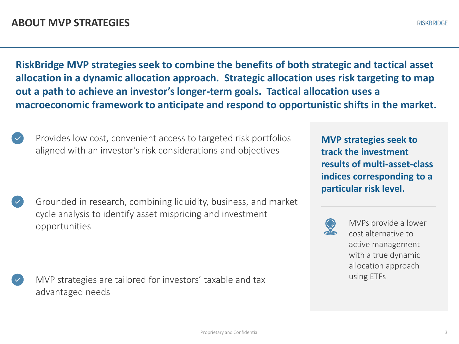**RiskBridge MVP strategies seek to combine the benefits of both strategic and tactical asset allocation in a dynamic allocation approach. Strategic allocation uses risk targeting to map out a path to achieve an investor's longer-term goals. Tactical allocation uses a macroeconomic framework to anticipate and respond to opportunistic shifts in the market.** 

Provides low cost, convenient access to targeted risk portfolios aligned with an investor's risk considerations and objectives

Grounded in research, combining liquidity, business, and market cycle analysis to identify asset mispricing and investment opportunities

MVP strategies are tailored for investors' taxable and tax advantaged needs

**MVP strategies seek to track the investment results of multi-asset-class indices corresponding to a particular risk level.** 



MVPs provide a lower cost alternative to active management with a true dynamic allocation approach using ETFs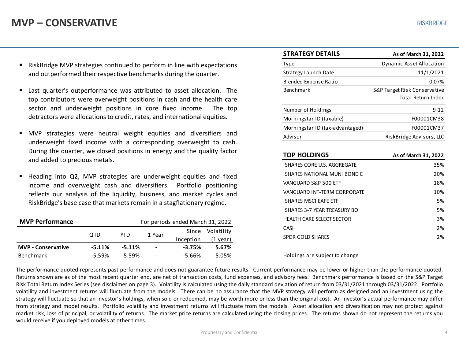#### **MVP – CONSERVATIVE**

- RiskBridge MVP strategies continued to perform in line with expectations and outperformed their respective benchmarks during the quarter.
- Last quarter's outperformance was attributed to asset allocation. The top contributors were overweight positions in cash and the health care sector and underweight positions in core fixed income. The top detractors were allocations to credit, rates, and international equities.
- MVP strategies were neutral weight equities and diversifiers and underweight fixed income with a corresponding overweight to cash. During the quarter, we closed positions in energy and the quality factor and added to precious metals.
- Heading into Q2, MVP strategies are underweight equities and fixed income and overweight cash and diversifiers. Portfolio positioning reflects our analysis of the liquidity, business, and market cycles and RiskBridge's base case that markets remain in a stagflationary regime.

| <b>MVP Performance</b><br>For periods ended March 31, 2022 |           |          |                          |           |            |
|------------------------------------------------------------|-----------|----------|--------------------------|-----------|------------|
|                                                            | OTD       | YTD      | 1 Year                   | Sincel    | Volatility |
|                                                            |           |          |                          | Inception | (1 vear)   |
| <b>MVP</b> - Conservative                                  | $-5.11%$  | $-5.11%$ | $\,$                     | $-3.75%$  | 5.67%      |
| Benchmark                                                  | $-5.59\%$ | $-5.59%$ | $\overline{\phantom{0}}$ | $-5.66%$  | 5.05%      |

| <b>STRATEGY DETAILS</b>         | As of March 31, 2022                               |
|---------------------------------|----------------------------------------------------|
| Type                            | Dynamic Asset Allocation                           |
| Strategy Launch Date            | 11/1/2021                                          |
| Blended Expense Ratio           | 0.07%                                              |
| <b>Benchmark</b>                | S&P Target Risk Conservative<br>Total Return Index |
| Number of Holdings              | $9 - 12$                                           |
| Morningstar ID (taxable)        | F00001CM38                                         |
| Morningstar ID (tax-advantaged) | F00001CM37                                         |
| Advisor                         | RiskBridge Advisors, LLC                           |

| <b>TOP HOLDINGS</b>          | As of March 31, 2022 |
|------------------------------|----------------------|
| ISHARES CORE U.S. AGGREGATE  | 35%                  |
| ISHARES NATIONAL MUNI BOND F | 20%                  |
| VANGUARD S&P 500 ETF         | 18%                  |
| VANGUARD INT-TERM CORPORATE  | 10%                  |
| ISHARES MSCL FAFF FTF        | 5%                   |
| ISHARES 3-7 YEAR TREASURY BO | 5%                   |
| HEALTH CARE SELECT SECTOR    | 3%                   |
| <b>CASH</b>                  | 2%                   |
| <b>SPDR GOLD SHARES</b>      | 2%                   |

Holdings are subject to change

The performance quoted represents past performance and does not guarantee future results. Current performance may be lower or higher than the performance quoted. Returns shown are as of the most recent quarter end, are net of transaction costs, fund expenses, and advisory fees. Benchmark performance is based on the S&P Target Risk Total Return Index Series (see disclaimer on page 3). Volatility is calculated using the daily standard deviation of return from 03/31/2021 through 03/31/2022. Portfolio volatility and investment returns will fluctuate from the models. There can be no assurance that the MVP strategy will perform as designed and an investment using the strategy will fluctuate so that an investor's holdings, when sold or redeemed, may be worth more or less than the original cost. An investor's actual performance may differ from strategy and model results. Portfolio volatility and investment returns will fluctuate from the models. Asset allocation and diversification may not protect against market risk, loss of principal, or volatility of returns. The market price returns are calculated using the closing prices. The returns shown do not represent the returns you would receive if you deployed models at other times.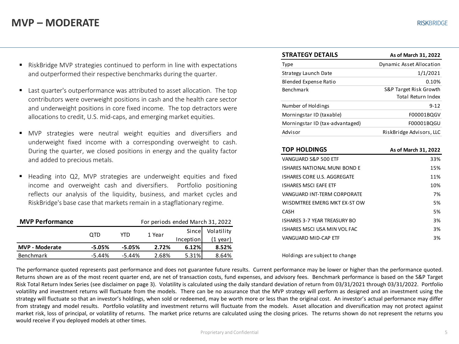#### **MVP – MODERATE**

- RiskBridge MVP strategies continued to perform in line with expectations and outperformed their respective benchmarks during the quarter.
- Last quarter's outperformance was attributed to asset allocation. The top contributors were overweight positions in cash and the health care sector and underweight positions in core fixed income. The top detractors were allocations to credit, U.S. mid-caps, and emerging market equities.
- MVP strategies were neutral weight equities and diversifiers and underweight fixed income with a corresponding overweight to cash. During the quarter, we closed positions in energy and the quality factor and added to precious metals.
- Heading into Q2, MVP strategies are underweight equities and fixed income and overweight cash and diversifiers. Portfolio positioning reflects our analysis of the liquidity, business, and market cycles and RiskBridge's base case that markets remain in a stagflationary regime.

| <b>MVP Performance</b> | For periods ended March 31, 2022 |           |        |           |            |
|------------------------|----------------------------------|-----------|--------|-----------|------------|
|                        | 0TD                              | YTD       | 1 Year | Since     | Volatility |
|                        |                                  |           |        | Inception | (1 year)   |
| <b>MVP - Moderate</b>  | -5.05%                           | -5.05%    | 2.72%  | 6.12%     | 8.52%      |
| <b>Benchmark</b>       | $-5.44\%$                        | $-5.44\%$ | 2.68%  | 5.31%     | 8.64%      |

| <b>STRATEGY DETAILS</b>         | As of March 31, 2022                         |
|---------------------------------|----------------------------------------------|
| Type                            | Dynamic Asset Allocation                     |
| Strategy Launch Date            | 1/1/2021                                     |
| Blended Expense Ratio           | 0.10%                                        |
| <b>Benchmark</b>                | S&P Target Risk Growth<br>Total Return Index |
| Number of Holdings              | $9 - 12$                                     |
| Morningstar ID (taxable)        | F00001BQGV                                   |
| Morningstar ID (tax-advantaged) | F00001BOGU                                   |
| Advisor                         | RiskBridge Advisors, LLC                     |

| <b>TOP HOLDINGS</b>          | As of March 31, 2022 |
|------------------------------|----------------------|
| VANGUARD S&P 500 ETF         | 33%                  |
| ISHARES NATIONAL MUNI BOND E | 15%                  |
| ISHARES CORE U.S. AGGREGATE  | 11%                  |
| <b>ISHARES MSCI EAFE ETF</b> | 10%                  |
| VANGUARD INT-TERM CORPORATE  | 7%                   |
| WISDMTRFF FMFRG MKT FX-ST OW | 5%                   |
| <b>CASH</b>                  | 5%                   |
| ISHARES 3-7 YEAR TREASURY BO | 3%                   |
| ISHARES MSCLUSA MIN VOL FAC  | 3%                   |
| VANGUARD MID-CAP FTF         | 3%                   |

Holdings are subject to change

The performance quoted represents past performance and does not guarantee future results. Current performance may be lower or higher than the performance quoted. Returns shown are as of the most recent quarter end, are net of transaction costs, fund expenses, and advisory fees. Benchmark performance is based on the S&P Target Risk Total Return Index Series (see disclaimer on page 3). Volatility is calculated using the daily standard deviation of return from 03/31/2021 through 03/31/2022. Portfolio volatility and investment returns will fluctuate from the models. There can be no assurance that the MVP strategy will perform as designed and an investment using the strategy will fluctuate so that an investor's holdings, when sold or redeemed, may be worth more or less than the original cost. An investor's actual performance may differ from strategy and model results. Portfolio volatility and investment returns will fluctuate from the models. Asset allocation and diversification may not protect against market risk, loss of principal, or volatility of returns. The market price returns are calculated using the closing prices. The returns shown do not represent the returns you would receive if you deployed models at other times.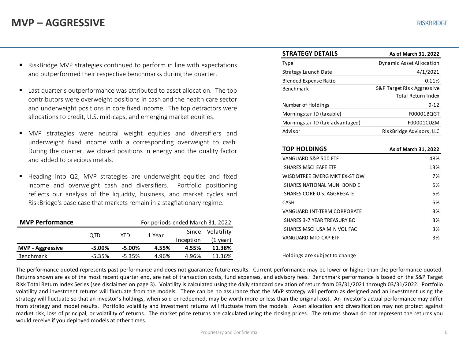#### **MVP – AGGRESSIVE**

- RiskBridge MVP strategies continued to perform in line with expectations and outperformed their respective benchmarks during the quarter.
- Last quarter's outperformance was attributed to asset allocation. The top contributors were overweight positions in cash and the health care sector and underweight positions in core fixed income. The top detractors were allocations to credit, U.S. mid-caps, and emerging market equities.
- MVP strategies were neutral weight equities and diversifiers and underweight fixed income with a corresponding overweight to cash. During the quarter, we closed positions in energy and the quality factor and added to precious metals.
- Heading into Q2, MVP strategies are underweight equities and fixed income and overweight cash and diversifiers. Portfolio positioning reflects our analysis of the liquidity, business, and market cycles and RiskBridge's base case that markets remain in a stagflationary regime.

| <b>MVP Performance</b>  | For periods ended March 31, 2022 |          |        |           |            |
|-------------------------|----------------------------------|----------|--------|-----------|------------|
|                         | OTD                              | YTD      | 1 Year | Since     | Volatility |
|                         |                                  |          |        | Inception | (1 vear)   |
| <b>MVP</b> - Aggressive | -5.00%                           | -5.00%   | 4.55%  | 4.55%     | 11.38%     |
| Benchmark               | $-5.35%$                         | $-5.35%$ | 4.96%  | 4.96%     | 11.36%     |

| <b>STRATEGY DETAILS</b>         | As of March 31, 2022                                    |
|---------------------------------|---------------------------------------------------------|
| Type                            | Dynamic Asset Allocation                                |
| Strategy Launch Date            | 4/1/2021                                                |
| Blended Expense Ratio           | 0.11%                                                   |
| Benchmark                       | S&P Target Risk Aggressive<br><b>Total Return Index</b> |
| Number of Holdings              | $9 - 12$                                                |
| Morningstar ID (taxable)        | F00001BQGT                                              |
| Morningstar ID (tax-advantaged) | F00001CUZM                                              |
| Advisor                         | RiskBridge Advisors, LLC                                |

| <b>TOP HOLDINGS</b>                | As of March 31, 2022 |
|------------------------------------|----------------------|
| VANGUARD S&P 500 ETF               | 48%                  |
| <b>ISHARES MSCI EAFE ETF</b>       | 13%                  |
| WISDMTRFF FMFRG MKT FX-ST OW       | 7%                   |
| ISHARES NATIONAL MUNI BOND E       | 5%                   |
| <b>ISHARES CORE U.S. AGGREGATE</b> | 5%                   |
| CASH                               | 5%                   |
| VANGUARD INT-TERM CORPORATE        | 3%                   |
| ISHARES 3-7 YEAR TREASURY BO       | 3%                   |
| ISHARES MSCLUSA MIN VOL FAC        | 3%                   |
| VANGUARD MID-CAP FTF               | 3%                   |
|                                    |                      |

Holdings are subject to change

The performance quoted represents past performance and does not guarantee future results. Current performance may be lower or higher than the performance quoted. Returns shown are as of the most recent quarter end, are net of transaction costs, fund expenses, and advisory fees. Benchmark performance is based on the S&P Target Risk Total Return Index Series (see disclaimer on page 3). Volatility is calculated using the daily standard deviation of return from 03/31/2021 through 03/31/2022. Portfolio volatility and investment returns will fluctuate from the models. There can be no assurance that the MVP strategy will perform as designed and an investment using the strategy will fluctuate so that an investor's holdings, when sold or redeemed, may be worth more or less than the original cost. An investor's actual performance may differ from strategy and model results. Portfolio volatility and investment returns will fluctuate from the models. Asset allocation and diversification may not protect against market risk, loss of principal, or volatility of returns. The market price returns are calculated using the closing prices. The returns shown do not represent the returns you would receive if you deployed models at other times.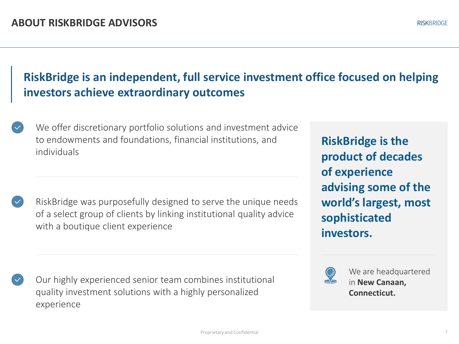### **RiskBridge is an independent, full service investment office focused on helping investors achieve extraordinary outcomes**

We offer discretionary portfolio solutions and investment advice to endowments and foundations, financial institutions, and individuals

RiskBridge was purposefully designed to serve the unique needs of a select group of clients by linking institutional quality advice with a boutique client experience

Our highly experienced senior team combines institutional quality investment solutions with a highly personalized experience

**RiskBridge is the product of decades of experience advising some of the world's largest, most sophisticated investors.**



We are headquartered in **New Canaan, Connecticut.**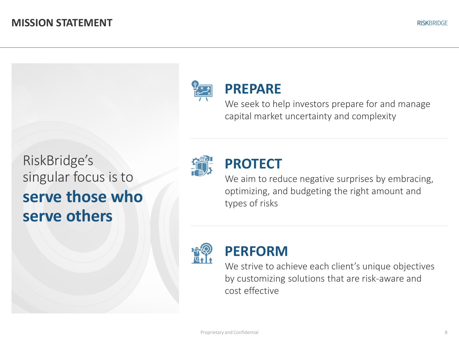

## **PREPARE**

We seek to help investors prepare for and manage capital market uncertainty and complexity

RiskBridge's singular focus is to **serve those who serve others**



## **PROTECT**

We aim to reduce negative surprises by embracing, optimizing, and budgeting the right amount and types of risks



#### **PERFORM**

We strive to achieve each client's unique objectives by customizing solutions that are risk-aware and cost effective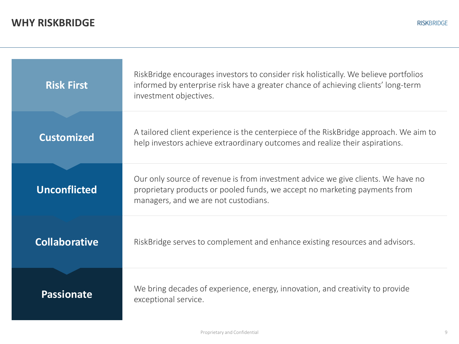| <b>Risk First</b>    | RiskBridge encourages investors to consider risk holistically. We believe portfolios<br>informed by enterprise risk have a greater chance of achieving clients' long-term<br>investment objectives.    |
|----------------------|--------------------------------------------------------------------------------------------------------------------------------------------------------------------------------------------------------|
| <b>Customized</b>    | A tailored client experience is the centerpiece of the RiskBridge approach. We aim to<br>help investors achieve extraordinary outcomes and realize their aspirations.                                  |
| <b>Unconflicted</b>  | Our only source of revenue is from investment advice we give clients. We have no<br>proprietary products or pooled funds, we accept no marketing payments from<br>managers, and we are not custodians. |
| <b>Collaborative</b> | RiskBridge serves to complement and enhance existing resources and advisors.                                                                                                                           |
| <b>Passionate</b>    | We bring decades of experience, energy, innovation, and creativity to provide<br>exceptional service.                                                                                                  |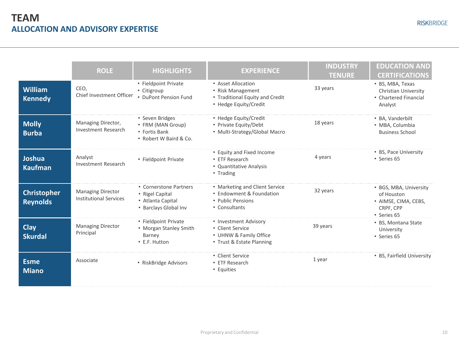| <b>RISKBRIDGE</b> |  |  |  |
|-------------------|--|--|--|
|                   |  |  |  |

|                                       | <b>ROLE</b>                                               | <b>HIGHLIGHTS</b>                                                                       | <b>EXPERIENCE</b>                                                                                   | <b>INDUSTRY</b><br><b>TENURE</b> | <b>EDUCATION AND</b><br><b>CERTIFICATIONS</b>                                            |
|---------------------------------------|-----------------------------------------------------------|-----------------------------------------------------------------------------------------|-----------------------------------------------------------------------------------------------------|----------------------------------|------------------------------------------------------------------------------------------|
| <b>William</b><br><b>Kennedy</b>      | CEO.<br>Chief Investment Officer                          | • Fieldpoint Private<br>• Citigroup<br>• DuPont Pension Fund                            | • Asset Allocation<br>• Risk Management<br>• Traditional Equity and Credit<br>• Hedge Equity/Credit | 33 years                         | • BS, MBA, Texas<br>Christian University<br>• Chartered Financial<br>Analyst             |
| <b>Molly</b><br><b>Burba</b>          | Managing Director,<br><b>Investment Research</b>          | • Seven Bridges<br>• FRM (MAN Group)<br>• Fortis Bank<br>. Robert W Baird & Co.         | • Hedge Equity/Credit<br>• Private Equity/Debt<br>• Multi-Strategy/Global Macro                     | 18 years                         | • BA, Vanderbilt<br>• MBA, Columbia<br><b>Business School</b>                            |
| Joshua<br><b>Kaufman</b>              | Analyst<br><b>Investment Research</b>                     | • Fieldpoint Private                                                                    | • Equity and Fixed Income<br>• ETF Research<br>• Quantitative Analysis<br>• Trading                 | 4 years                          | • BS, Pace University<br>• Series 65                                                     |
| <b>Christopher</b><br><b>Reynolds</b> | <b>Managing Director</b><br><b>Institutional Services</b> | • Cornerstone Partners<br>• Rigel Capital<br>• Atlanta Capital<br>• Barclays Global Inv | • Marketing and Client Service<br>• Endowment & Foundation<br>• Public Pensions<br>• Consultants    | 32 years                         | • BGS, MBA, University<br>of Houston<br>• AIMSE, CIMA, CEBS,<br>CRPF, CPP<br>• Series 65 |
| <b>Clay</b><br><b>Skurdal</b>         | <b>Managing Director</b><br>Principal                     | • Fieldpoint Private<br>• Morgan Stanley Smith<br>Barney<br>• E.F. Hutton               | • Investment Advisory<br>• Client Service<br>• UHNW & Family Office<br>• Trust & Estate Planning    | 39 years                         | • BS, Montana State<br>University<br>• Series 65                                         |
| <b>Esme</b><br><b>Miano</b>           | Associate                                                 | • RiskBridge Advisors                                                                   | • Client Service<br>• ETF Research<br>• Equities                                                    | 1 year                           | • BS, Fairfield University                                                               |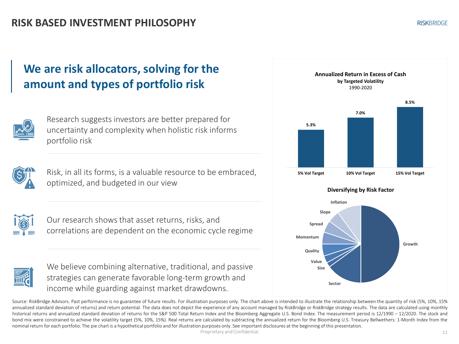#### **We are risk allocators, solving for the amount and types of portfolio risk**



Research suggests investors are better prepared for uncertainty and complexity when holistic risk informs portfolio risk



Risk, in all its forms, is a valuable resource to be embraced, optimized, and budgeted in our view



Our research shows that asset returns, risks, and correlations are dependent on the economic cycle regime



We believe combining alternative, traditional, and passive strategies can generate favorable long-term growth and income while guarding against market drawdowns.



Source: RiskBridge Advisors. Past performance is no guarantee of future results. For illustration purposes only. The chart above is intended to illustrate the relationship between the quantity of risk (5%, 10%, 15% annualized standard deviation of returns) and return potential. The data does not depict the experience of any account managed by RiskBridge or RiskBridge strategy results. The data are calculated using monthly historical returns and annualized standard deviation of returns for the S&P 500 Total Return Index and the Bloomberg Aggregate U.S. Bond Index. The measurement period is 12/1990 - 12/2020. The stock and bond mix were constrained to achieve the volatility target (5%, 10%, 15%). Real returns are calculated by subtracting the annualized return for the Bloomberg U.S. Treasury Bellwethers: 1-Month Index from the nominalreturn for each portfolio. The pie chart is a hypothetical portfolio and for illustration purposes only. See important disclosures at the beginning of this presentation.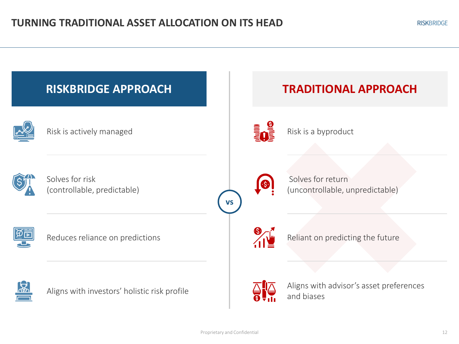![](_page_11_Figure_2.jpeg)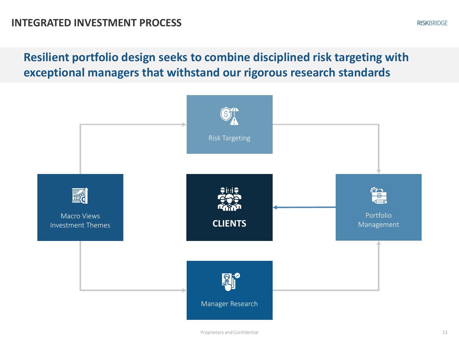**Resilient portfolio design seeks to combine disciplined risk targeting with exceptional managers that withstand our rigorous research standards**

![](_page_12_Figure_2.jpeg)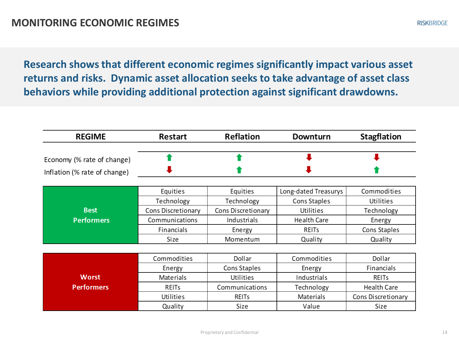**Research shows that different economic regimes significantly impact various asset returns and risks. Dynamic asset allocation seeks to take advantage of asset class behaviors while providing additional protection against significant drawdowns.** 

| <b>REGIME</b>                                              | Restart                   | <b>Reflation</b>   | Downturn             | Stagflation        |
|------------------------------------------------------------|---------------------------|--------------------|----------------------|--------------------|
| Economy (% rate of change)<br>Inflation (% rate of change) |                           |                    |                      |                    |
|                                                            | Equities                  | Equities           | Long-dated Treasurys | Commodities        |
|                                                            | Technology                | Technology         | Cons Staples         | Utilities          |
| <b>Best</b>                                                | <b>Cons Discretionary</b> | Cons Discretionary | Utilities            | Technology         |
| <b>Performers</b>                                          | Communications            | Industrials        | Health Care          | Energy             |
|                                                            | Financials                | Energy             | REITS                | Cons Staples       |
|                                                            | Size                      | Momentum           | Quality              | Quality            |
|                                                            |                           |                    |                      |                    |
|                                                            | Commodities               | Dollar             | Commodities          | Dollar             |
|                                                            | Energy                    | Cons Staples       | Energy               | Financials         |
| <b>Worst</b>                                               | Materials                 | Utilities          | Industrials          | REITS              |
| <b>Performers</b>                                          | REITS                     | Communications     | Technology           | <b>Health Care</b> |
|                                                            | Utilities                 | <b>REITs</b>       | Materials            | Cons Discretionary |
|                                                            | Quality                   | Size               | Value                | Size               |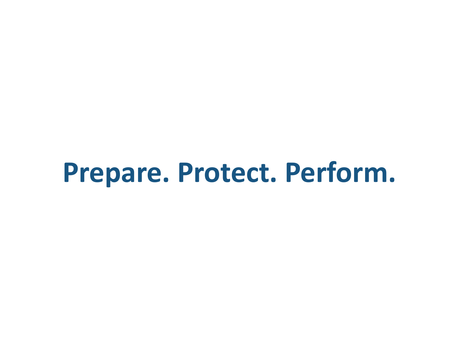# **Prepare. Protect. Perform.**